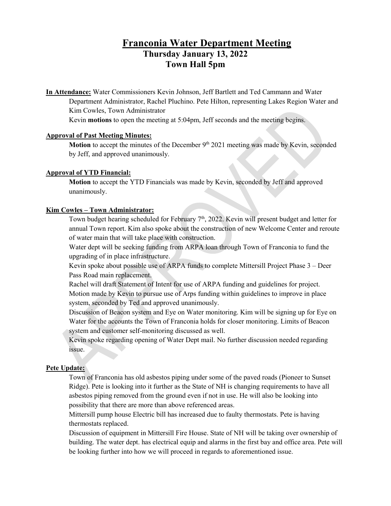# **Franconia Water Department Meeting Thursday January 13, 2022 Town Hall 5pm**

**In Attendance:** Water Commissioners Kevin Johnson, Jeff Bartlett and Ted Cammann and Water Department Administrator, Rachel Pluchino. Pete Hilton, representing Lakes Region Water and Kim Cowles, Town Administrator

Kevin **motions** to open the meeting at 5:04pm, Jeff seconds and the meeting begins.

#### **Approval of Past Meeting Minutes:**

**Motion** to accept the minutes of the December 9<sup>th</sup> 2021 meeting was made by Kevin, seconded by Jeff, and approved unanimously.

# **Approval of YTD Financial:**

**Motion** to accept the YTD Financials was made by Kevin, seconded by Jeff and approved unanimously.

# **Kim Cowles – Town Administrator:**

Town budget hearing scheduled for February 7th, 2022. Kevin will present budget and letter for annual Town report. Kim also spoke about the construction of new Welcome Center and reroute of water main that will take place with construction.

Water dept will be seeking funding from ARPA loan through Town of Franconia to fund the upgrading of in place infrastructure.

Kevin spoke about possible use of ARPA funds to complete Mittersill Project Phase 3 – Deer Pass Road main replacement.

Rachel will draft Statement of Intent for use of ARPA funding and guidelines for project. Motion made by Kevin to pursue use of Arps funding within guidelines to improve in place system, seconded by Ted and approved unanimously.

Discussion of Beacon system and Eye on Water monitoring. Kim will be signing up for Eye on Water for the accounts the Town of Franconia holds for closer monitoring. Limits of Beacon system and customer self-monitoring discussed as well.

Kevin spoke regarding opening of Water Dept mail. No further discussion needed regarding issue.

# **Pete Update:**

Town of Franconia has old asbestos piping under some of the paved roads (Pioneer to Sunset Ridge). Pete is looking into it further as the State of NH is changing requirements to have all asbestos piping removed from the ground even if not in use. He will also be looking into possibility that there are more than above referenced areas.

Mittersill pump house Electric bill has increased due to faulty thermostats. Pete is having thermostats replaced.

Discussion of equipment in Mittersill Fire House. State of NH will be taking over ownership of building. The water dept. has electrical equip and alarms in the first bay and office area. Pete will be looking further into how we will proceed in regards to aforementioned issue.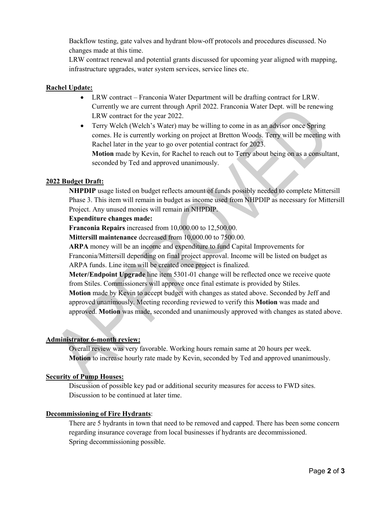Backflow testing, gate valves and hydrant blow-off protocols and procedures discussed. No changes made at this time.

LRW contract renewal and potential grants discussed for upcoming year aligned with mapping, infrastructure upgrades, water system services, service lines etc.

# **Rachel Update:**

- LRW contract Franconia Water Department will be drafting contract for LRW. Currently we are current through April 2022. Franconia Water Dept. will be renewing LRW contract for the year 2022.
- Terry Welch (Welch's Water) may be willing to come in as an advisor once Spring comes. He is currently working on project at Bretton Woods. Terry will be meeting with Rachel later in the year to go over potential contract for 2023. **Motion** made by Kevin, for Rachel to reach out to Terry about being on as a consultant, seconded by Ted and approved unanimously.

#### **2022 Budget Draft:**

**NHPDIP** usage listed on budget reflects amount of funds possibly needed to complete Mittersill Phase 3. This item will remain in budget as income used from NHPDIP as necessary for Mittersill Project. Any unused monies will remain in NHPDIP.

#### **Expenditure changes made:**

**Franconia Repairs** increased from 10,000.00 to 12,500.00.

**Mittersill maintenance** decreased from 10,000.00 to 7500.00.

**ARPA** money will be an income and expenditure to fund Capital Improvements for Franconia/Mittersill depending on final project approval. Income will be listed on budget as ARPA funds. Line item will be created once project is finalized.

**Meter/Endpoint Upgrade** line item 5301-01 change will be reflected once we receive quote from Stiles. Commissioners will approve once final estimate is provided by Stiles.

**Motion** made by Kevin to accept budget with changes as stated above. Seconded by Jeff and approved unanimously. Meeting recording reviewed to verify this **Motion** was made and approved. **Motion** was made, seconded and unanimously approved with changes as stated above.

#### **Administrator 6-month review:**

Overall review was very favorable. Working hours remain same at 20 hours per week. **Motion** to increase hourly rate made by Kevin, seconded by Ted and approved unanimously.

#### **Security of Pump Houses:**

Discussion of possible key pad or additional security measures for access to FWD sites. Discussion to be continued at later time.

#### **Decommissioning of Fire Hydrants**:

There are 5 hydrants in town that need to be removed and capped. There has been some concern regarding insurance coverage from local businesses if hydrants are decommissioned. Spring decommissioning possible.